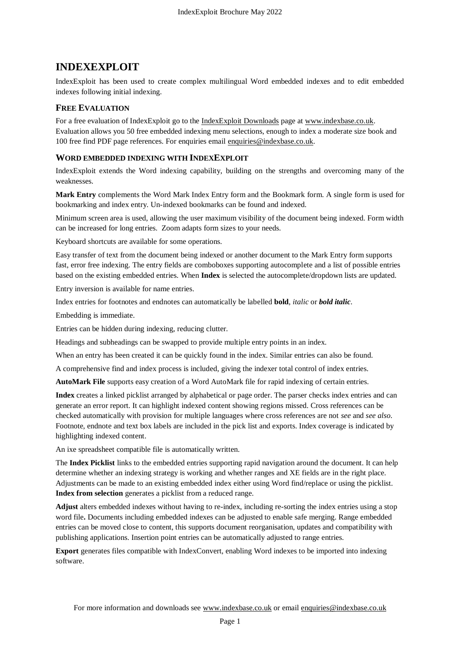## **INDEXEXPLOIT**

IndexExploit has been used to create complex multilingual Word embedded indexes and to edit embedded indexes following initial indexing.

## **FREE EVALUATION**

For a free evaluation of IndexExploit go to the [IndexExploit Downloads](http://indexbase.co.uk/indexexploit/indexexploitdownloads) page at [www.indexbase.co.uk.](http://www.indexbase.co.uk/) Evaluation allows you 50 free embedded indexing menu selections, enough to index a moderate size book and 100 free find PDF page references. For enquiries email [enquiries@indexbase.co.uk.](mailto:enquiries@indexbase.co.uk)

## **WORD EMBEDDED INDEXING WITH INDEXEXPLOIT**

IndexExploit extends the Word indexing capability, building on the strengths and overcoming many of the weaknesses.

**Mark Entry** complements the Word Mark Index Entry form and the Bookmark form. A single form is used for bookmarking and index entry. Un-indexed bookmarks can be found and indexed.

Minimum screen area is used, allowing the user maximum visibility of the document being indexed. Form width can be increased for long entries. Zoom adapts form sizes to your needs.

Keyboard shortcuts are available for some operations.

Easy transfer of text from the document being indexed or another document to the Mark Entry form supports fast, error free indexing. The entry fields are comboboxes supporting autocomplete and a list of possible entries based on the existing embedded entries. When **Index** is selected the autocomplete/dropdown lists are updated.

Entry inversion is available for name entries.

Index entries for footnotes and endnotes can automatically be labelled **bold**, *italic* or *bold italic*.

Embedding is immediate.

Entries can be hidden during indexing, reducing clutter.

Headings and subheadings can be swapped to provide multiple entry points in an index.

When an entry has been created it can be quickly found in the index. Similar entries can also be found.

A comprehensive find and index process is included, giving the indexer total control of index entries.

**AutoMark File** supports easy creation of a Word AutoMark file for rapid indexing of certain entries.

**Index** creates a linked picklist arranged by alphabetical or page order. The parser checks index entries and can generate an error report. It can highlight indexed content showing regions missed. Cross references can be checked automatically with provision for multiple languages where cross references are not *see* and *see also*. Footnote, endnote and text box labels are included in the pick list and exports. Index coverage is indicated by highlighting indexed content.

An ixe spreadsheet compatible file is automatically written.

The **Index Picklist** links to the embedded entries supporting rapid navigation around the document. It can help determine whether an indexing strategy is working and whether ranges and XE fields are in the right place. Adjustments can be made to an existing embedded index either using Word find/replace or using the picklist. **Index from selection** generates a picklist from a reduced range.

**Adjust** alters embedded indexes without having to re-index, including re-sorting the index entries using a stop word file**.** Documents including embedded indexes can be adjusted to enable safe merging. Range embedded entries can be moved close to content, this supports document reorganisation, updates and compatibility with publishing applications. Insertion point entries can be automatically adjusted to range entries.

**Export** generates files compatible with IndexConvert, enabling Word indexes to be imported into indexing software.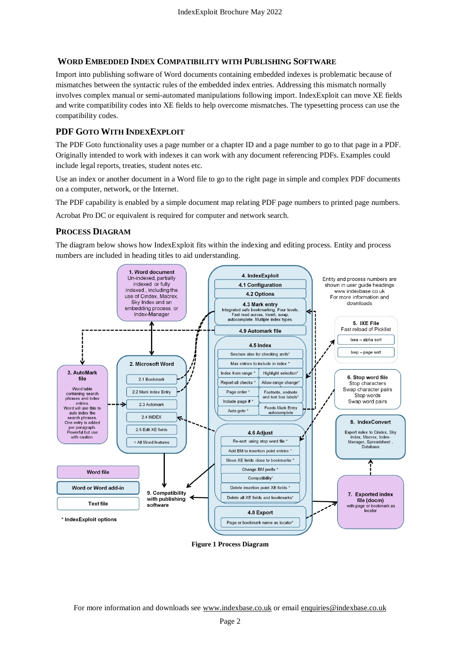## **WORD EMBEDDED INDEX COMPATIBILITY WITH PUBLISHING SOFTWARE**

Import into publishing software of Word documents containing embedded indexes is problematic because of mismatches between the syntactic rules of the embedded index entries. Addressing this mismatch normally involves complex manual or semi-automated manipulations following import. IndexExploit can move XE fields and write compatibility codes into XE fields to help overcome mismatches. The typesetting process can use the compatibility codes.

## **PDF GOTO WITH INDEXEXPLOIT**

The PDF Goto functionality uses a page number or a chapter ID and a page number to go to that page in a PDF. Originally intended to work with indexes it can work with any document referencing PDFs. Examples could include legal reports, treaties, student notes etc.

Use an index or another document in a Word file to go to the right page in simple and complex PDF documents on a computer, network, or the Internet.

The PDF capability is enabled by a simple document map relating PDF page numbers to printed page numbers.

Acrobat Pro DC or equivalent is required for computer and network search.

## **PROCESS DIAGRAM**

The diagram below shows how IndexExploit fits within the indexing and editing process. Entity and process numbers are included in heading titles to aid understanding.



**Figure 1 Process Diagram**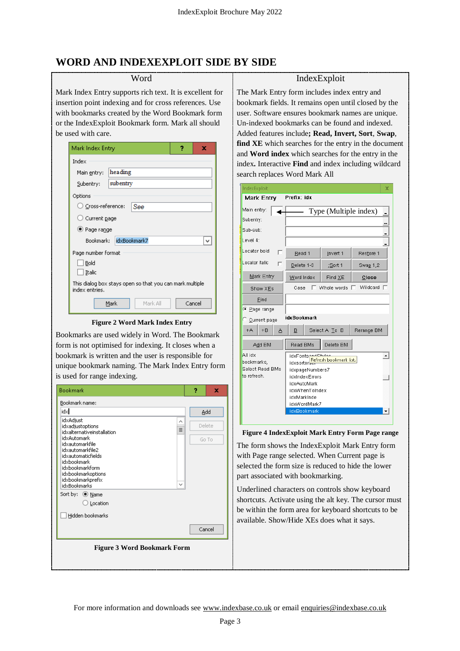## **WORD AND INDEXEXPLOIT SIDE BY SIDE**

## Word

Mark Index Entry supports rich text. It is excellent for insertion point indexing and for cross references. Use with bookmarks created by the Word Bookmark form or the IndexExploit Bookmark form. Mark all should be used with care.

| Mark Index Entry<br>7<br>x                                                  |  |  |  |  |
|-----------------------------------------------------------------------------|--|--|--|--|
| Index                                                                       |  |  |  |  |
| heading<br>Main entry:                                                      |  |  |  |  |
| subentry<br>Subentry:                                                       |  |  |  |  |
| Options                                                                     |  |  |  |  |
| $\cup$ Cross-reference:<br>See                                              |  |  |  |  |
| $\bigcirc$ Current page                                                     |  |  |  |  |
| ● Page range                                                                |  |  |  |  |
| idxBookmark7<br>Bookmark: I<br>v                                            |  |  |  |  |
| Page number format                                                          |  |  |  |  |
| Bold                                                                        |  |  |  |  |
| Italic                                                                      |  |  |  |  |
| This dialog box stays open so that you can mark multiple.<br>index entries. |  |  |  |  |
| Mark All<br>Mark<br>Cancel                                                  |  |  |  |  |

#### **Figure 2 Word Mark Index Entry**

Bookmarks are used widely in Word. The Bookmark form is not optimised for indexing. It closes when a bookmark is written and the user is responsible for unique bookmark naming. The Mark Index Entry form is used for range indexing.



### IndexExploit

The Mark Entry form includes index entry and bookmark fields. It remains open until closed by the user. Software ensures bookmark names are unique. Un-indexed bookmarks can be found and indexed. Added features include**; Read, Invert, Sort**, **Swap**, **find XE** which searches for the entry in the document and **Word index** which searches for the entry in the index**.** Interactive **Find** and index including wildcard search replaces Word Mark All

| IndexExploit                                            |                                                                                                                                                                                          |               | x          |  |
|---------------------------------------------------------|------------------------------------------------------------------------------------------------------------------------------------------------------------------------------------------|---------------|------------|--|
| Prefix: idx<br>Mark Entry                               |                                                                                                                                                                                          |               |            |  |
| Main entry:                                             | Type (Multiple index)                                                                                                                                                                    |               |            |  |
| Subentry:                                               |                                                                                                                                                                                          |               |            |  |
| Sub-sub:                                                |                                                                                                                                                                                          |               |            |  |
| Level 4:                                                |                                                                                                                                                                                          |               |            |  |
| Locator bold<br>n                                       | Read 1                                                                                                                                                                                   | Invert 1      | Restore 1  |  |
| Locator italic<br>г                                     | Delete 1-3                                                                                                                                                                               | ;Sort 1       | Swap 1,2   |  |
| Mark Entry                                              | Word Index                                                                                                                                                                               | Find $XE$     | Close      |  |
| Show XEs                                                | Wildcard T<br>п<br>Whole words $\Box$<br>Case                                                                                                                                            |               |            |  |
| Find                                                    |                                                                                                                                                                                          |               |            |  |
| ⊕ Page range                                            |                                                                                                                                                                                          |               |            |  |
| idxBookmark<br>$\circ$ Current page                     |                                                                                                                                                                                          |               |            |  |
| $+B$<br>$+A$<br>А                                       | в                                                                                                                                                                                        | Select A To B | Rerange BM |  |
| Add BM                                                  | Delete BM<br>Read BMs                                                                                                                                                                    |               |            |  |
| All idx<br>bookmarks,<br>Select Read BMs<br>to refresh. | idxFonts <del>pndCh.doc</del><br>Refresh bookmark list.<br>idxsortor<br>idxpageNumbers7<br>idxIndexErrors<br>idxAutoMark<br>idxWhenToIndex<br>idxMarkInde<br>idxWordMark7<br>idxBookmark |               |            |  |

#### **Figure 4 IndexExploit Mark Entry Form Page range**

The form shows the IndexExploit Mark Entry form with Page range selected. When Current page is selected the form size is reduced to hide the lower part associated with bookmarking.

Underlined characters on controls show keyboard shortcuts. Activate using the alt key. The cursor must be within the form area for keyboard shortcuts to be available. Show/Hide XEs does what it says.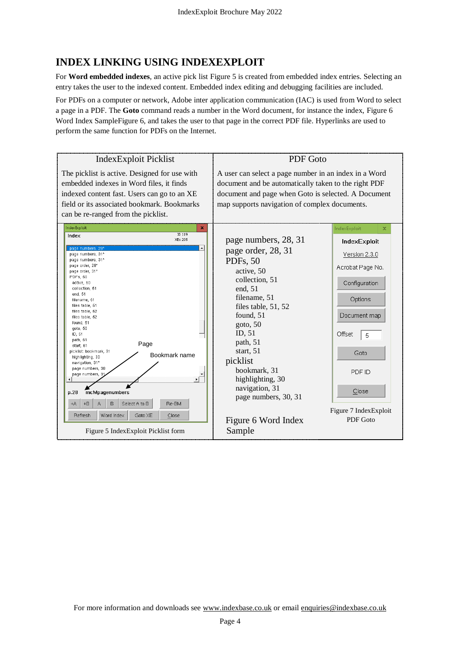# **INDEX LINKING USING INDEXEXPLOIT**

For **Word embedded indexes**, an active pick list [Figure 5](#page-3-0) is created from embedded index entries. Selecting an entry takes the user to the indexed content. Embedded index editing and debugging facilities are included.

For PDFs on a computer or network, Adobe inter application communication (IAC) is used from Word to select a page in a PDF. The **Goto** command reads a number in the Word document, for instance the index, [Figure 6](#page-3-1) [Word Index SampleFigure 6,](#page-3-1) and takes the user to that page in the correct PDF file. Hyperlinks are used to perform the same function for PDFs on the Internet.



<span id="page-3-1"></span><span id="page-3-0"></span>For more information and downloads see www.indexbase.co.uk or email enquiries@indexbase.co.uk